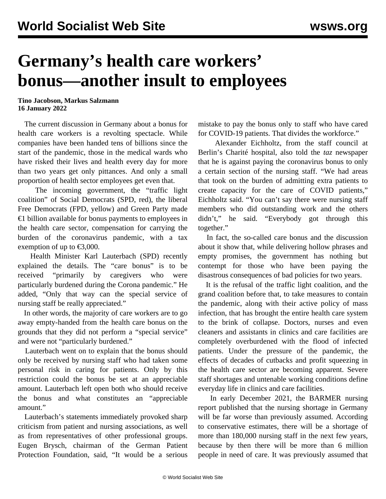## **Germany's health care workers' bonus—another insult to employees**

**Tino Jacobson, Markus Salzmann 16 January 2022**

 The current discussion in Germany about a bonus for health care workers is a revolting spectacle. While companies have been handed tens of billions since the start of the pandemic, those in the medical wards who have risked their lives and health every day for more than two years get only pittances. And only a small proportion of health sector employees get even that.

 The incoming government, the "traffic light coalition" of Social Democrats (SPD, red), the liberal Free Democrats (FPD, yellow) and Green Party made  $€1$  billion available for bonus payments to employees in the health care sector, compensation for carrying the burden of the coronavirus pandemic, with a tax exemption of up to  $\text{\textsterling}3,000$ .

 Health Minister Karl Lauterbach (SPD) recently explained the details. The "care bonus" is to be received "primarily by caregivers who were particularly burdened during the Corona pandemic." He added, "Only that way can the special service of nursing staff be really appreciated."

 In other words, the majority of care workers are to go away empty-handed from the health care bonus on the grounds that they did not perform a "special service" and were not "particularly burdened."

 Lauterbach went on to explain that the bonus should only be received by nursing staff who had taken some personal risk in caring for patients. Only by this restriction could the bonus be set at an appreciable amount. Lauterbach left open both who should receive the bonus and what constitutes an "appreciable amount."

 Lauterbach's statements immediately provoked sharp criticism from patient and nursing associations, as well as from representatives of other professional groups. Eugen Brysch, chairman of the German Patient Protection Foundation, said, "It would be a serious

mistake to pay the bonus only to staff who have cared for COVID-19 patients. That divides the workforce."

 Alexander Eichholtz, from the staff council at Berlin's Charité hospital, also told the *taz* newspaper that he is against paying the coronavirus bonus to only a certain section of the nursing staff. "We had areas that took on the burden of admitting extra patients to create capacity for the care of COVID patients," Eichholtz said. "You can't say there were nursing staff members who did outstanding work and the others didn't," he said. "Everybody got through this together."

 In fact, the so-called care bonus and the discussion about it show that, while delivering hollow phrases and empty promises, the government has nothing but contempt for those who have been paying the disastrous consequences of bad policies for two years.

 It is the refusal of the traffic light coalition, and the grand coalition before that, to take measures to contain the pandemic, along with their active policy of mass infection, that has brought the entire health care system to the brink of collapse. Doctors, nurses and even cleaners and assistants in clinics and care facilities are completely overburdened with the flood of infected patients. Under the pressure of the pandemic, the effects of decades of cutbacks and profit squeezing in the health care sector are becoming apparent. Severe staff shortages and untenable working conditions define everyday life in clinics and care facilities.

 In early December 2021, the BARMER nursing report published that the nursing shortage in Germany will be far worse than previously assumed. According to conservative estimates, there will be a shortage of more than 180,000 nursing staff in the next few years, because by then there will be more than 6 million people in need of care. It was previously assumed that